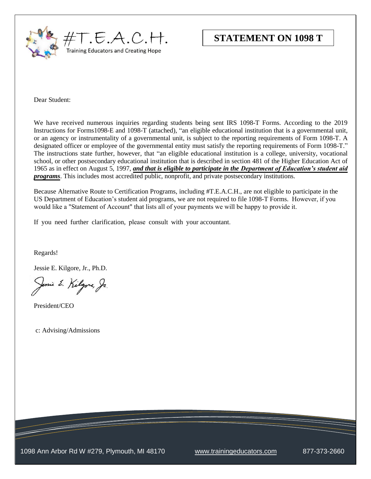

Dear Student:

We have received numerous inquiries regarding students being sent IRS 1098-T Forms. According to the 2019 Instructions for Forms1098-E and 1098-T (attached), "an eligible educational institution that is a governmental unit, or an agency or instrumentality of a governmental unit, is subject to the reporting requirements of Form 1098-T. A designated officer or employee of the governmental entity must satisfy the reporting requirements of Form 1098-T." The instructions state further, however, that "an eligible educational institution is a college, university, vocational school, or other postsecondary educational institution that is described in section 481 of the Higher Education Act of 1965 as in effect on August 5, 1997, *and that is eligible to participate in the Department of Education's student aid programs*. This includes most accredited public, nonprofit, and private postsecondary institutions.

Because Alternative Route to Certification Programs, including #T.E.A.C.H., are not eligible to participate in the US Department of Education's student aid programs, we are not required to file 1098-T Forms. However, if you would like a "Statement of Account" that lists all of your payments we will be happy to provide it.

If you need further clarification, please consult with your accountant.

Regards!

Jessie E. Kilgore, Jr., Ph.D.

Jemie E. Kilgore, Jr.

President/CEO

c: Advising/Admissions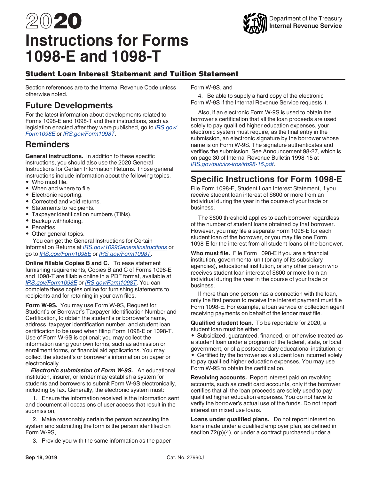# 2020 **Instructions for Forms 1098-E and 1098-T**



# Student Loan Interest Statement and Tuition Statement

Section references are to the Internal Revenue Code unless otherwise noted.

# **Future Developments**

For the latest information about developments related to Forms 1098-E and 1098-T and their instructions, such as legislation enacted after they were published, go to *[IRS.gov/](https://www.irs.gov/form1098e) [Form1098E](https://www.irs.gov/form1098e)* or *[IRS.gov/Form1098T](https://www.irs.gov/form1098t)*.

# **Reminders**

**General instructions.** In addition to these specific instructions, you should also use the 2020 General Instructions for Certain Information Returns. Those general instructions include information about the following topics.

- Who must file.
- When and where to file.
- Electronic reporting.
- Corrected and void returns.
- Statements to recipients.
- Taxpayer identification numbers (TINs).
- Backup withholding.
- Penalties.
- Other general topics.

You can get the General Instructions for Certain Information Returns at *[IRS.gov/1099GeneralInstructions](https://www.irs.gov/1099GeneralInstructions)* or go to *[IRS.gov/Form1098E](https://www.irs.gov/form1098e)* or *[IRS.gov/Form1098T](https://www.irs.gov/form1098t)*.

**Online fillable Copies B and C.** To ease statement furnishing requirements, Copies B and C of Forms 1098-E and 1098-T are fillable online in a PDF format, available at *[IRS.gov/Form1098E](https://www.irs.gov/form1098e)* or *[IRS.gov/Form1098T](https://www.irs.gov/form1098t)*. You can complete these copies online for furnishing statements to recipients and for retaining in your own files.

**Form W-9S.** You may use Form W-9S, Request for Student's or Borrower's Taxpayer Identification Number and Certification, to obtain the student's or borrower's name, address, taxpayer identification number, and student loan certification to be used when filing Form 1098-E or 1098-T. Use of Form W-9S is optional; you may collect the information using your own forms, such as admission or enrollment forms, or financial aid applications. You may collect the student's or borrower's information on paper or electronically.

*Electronic submission of Form W-9S.* An educational institution, insurer, or lender may establish a system for students and borrowers to submit Form W-9S electronically, including by fax. Generally, the electronic system must:

1. Ensure the information received is the information sent and document all occasions of user access that result in the submission,

2. Make reasonably certain the person accessing the system and submitting the form is the person identified on Form W-9S,

3. Provide you with the same information as the paper

Form W-9S, and

4. Be able to supply a hard copy of the electronic Form W-9S if the Internal Revenue Service requests it.

Also, if an electronic Form W-9S is used to obtain the borrower's certification that all the loan proceeds are used solely to pay qualified higher education expenses, your electronic system must require, as the final entry in the submission, an electronic signature by the borrower whose name is on Form W-9S. The signature authenticates and verifies the submission. See Announcement 98-27, which is on page 30 of Internal Revenue Bulletin 1998-15 at *[IRS.gov/pub/irs-irbs/irb98-15.pdf](https://www.irs.gov/pub/irs-irbs/irb98-15.pdf)*.

# **Specific Instructions for Form 1098-E**

File Form 1098-E, Student Loan Interest Statement, if you receive student loan interest of \$600 or more from an individual during the year in the course of your trade or business.

The \$600 threshold applies to each borrower regardless of the number of student loans obtained by that borrower. However, you may file a separate Form 1098-E for each student loan of the borrower, or you may file one Form 1098-E for the interest from all student loans of the borrower.

**Who must file.** File Form 1098-E if you are a financial institution, governmental unit (or any of its subsidiary agencies), educational institution, or any other person who receives student loan interest of \$600 or more from an individual during the year in the course of your trade or business.

If more than one person has a connection with the loan, only the first person to receive the interest payment must file Form 1098-E. For example, a loan service or collection agent receiving payments on behalf of the lender must file.

**Qualified student loan.** To be reportable for 2020, a student loan must be either:

• Subsidized, guaranteed, financed, or otherwise treated as a student loan under a program of the federal, state, or local government, or of a postsecondary educational institution; or • Certified by the borrower as a student loan incurred solely to pay qualified higher education expenses. You may use Form W-9S to obtain the certification.

**Revolving accounts.** Report interest paid on revolving accounts, such as credit card accounts, only if the borrower certifies that all the loan proceeds are solely used to pay qualified higher education expenses. You do not have to verify the borrower's actual use of the funds. Do not report interest on mixed use loans.

**Loans under qualified plans.** Do not report interest on loans made under a qualified employer plan, as defined in section 72(p)(4), or under a contract purchased under a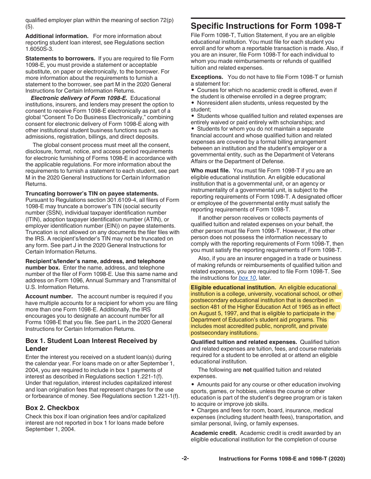<span id="page-2-0"></span>qualified employer plan within the meaning of section 72(p) (5).

**Additional information.** For more information about reporting student loan interest, see Regulations section 1.6050S-3.

**Statements to borrowers.** If you are required to file Form 1098-E, you must provide a statement or acceptable substitute, on paper or electronically, to the borrower. For more information about the requirements to furnish a statement to the borrower, see part M in the 2020 General Instructions for Certain Information Returns.

*Electronic delivery of Form 1098-E.* Educational institutions, insurers, and lenders may present the option to consent to receive Form 1098-E electronically as part of a global "Consent To Do Business Electronically," combining consent for electronic delivery of Form 1098-E along with other institutional student business functions such as admissions, registration, billings, and direct deposits.

The global consent process must meet all the consent, disclosure, format, notice, and access period requirements for electronic furnishing of Forms 1098-E in accordance with the applicable regulations. For more information about the requirements to furnish a statement to each student, see part M in the 2020 General Instructions for Certain Information Returns.

#### **Truncating borrower's TIN on payee statements.**

Pursuant to Regulations section 301.6109-4, all filers of Form 1098-E may truncate a borrower's TIN (social security number (SSN), individual taxpayer identification number (ITIN), adoption taxpayer identification number (ATIN), or employer identification number (EIN)) on payee statements. Truncation is not allowed on any documents the filer files with the IRS. A recipient's/lender's TIN may not be truncated on any form. See part J in the 2020 General Instructions for Certain Information Returns.

**Recipient's/lender's name, address, and telephone number box.** Enter the name, address, and telephone number of the filer of Form 1098-E. Use this same name and address on Form 1096, Annual Summary and Transmittal of U.S. Information Returns.

**Account number.** The account number is required if you have multiple accounts for a recipient for whom you are filing more than one Form 1098-E. Additionally, the IRS encourages you to designate an account number for all Forms 1098-E that you file. See part L in the 2020 General Instructions for Certain Information Returns.

## **Box 1. Student Loan Interest Received by Lender**

Enter the interest you received on a student loan(s) during the calendar year. For loans made on or after September 1, 2004, you are required to include in box 1 payments of interest as described in Regulations section 1.221-1(f). Under that regulation, interest includes capitalized interest and loan origination fees that represent charges for the use or forbearance of money. See Regulations section 1.221-1(f).

## **Box 2. Checkbox**

Check this box if loan origination fees and/or capitalized interest are not reported in box 1 for loans made before September 1, 2004.

# **Specific Instructions for Form 1098-T**

File Form 1098-T, Tuition Statement, if you are an eligible educational institution. You must file for each student you enroll and for whom a reportable transaction is made. Also, if you are an insurer, file Form 1098-T for each individual to whom you made reimbursements or refunds of qualified tuition and related expenses.

**Exceptions.** You do not have to file Form 1098-T or furnish a statement for:

• Courses for which no academic credit is offered, even if the student is otherwise enrolled in a degree program;

• Nonresident alien students, unless requested by the student;

• Students whose qualified tuition and related expenses are entirely waived or paid entirely with scholarships; and

• Students for whom you do not maintain a separate financial account and whose qualified tuition and related expenses are covered by a formal billing arrangement between an institution and the student's employer or a governmental entity, such as the Department of Veterans Affairs or the Department of Defense.

**Who must file.** You must file Form 1098-T if you are an eligible educational institution. An eligible educational institution that is a governmental unit, or an agency or instrumentality of a governmental unit, is subject to the reporting requirements of Form 1098-T. A designated officer or employee of the governmental entity must satisfy the reporting requirements of Form 1098-T.

If another person receives or collects payments of qualified tuition and related expenses on your behalf, the other person must file Form 1098-T. However, if the other person does not possess the information necessary to comply with the reporting requirements of Form 1098-T, then you must satisfy the reporting requirements of Form 1098-T.

Also, if you are an insurer engaged in a trade or business of making refunds or reimbursements of qualified tuition and related expenses, you are required to file Form 1098-T. See the instructions for *[box 10](#page-4-0)*, later.

**Eligible educational institution.** An eligible educational institution is a college, university, vocational school, or other postsecondary educational institution that is described in section 481 of the Higher Education Act of 1965 as in effect on August 5, 1997, and that is eligible to participate in the Department of Education's student aid programs. This includes most accredited public, nonprofit, and private postsecondary institutions.

**Qualified tuition and related expenses.** Qualified tuition and related expenses are tuition, fees, and course materials required for a student to be enrolled at or attend an eligible educational institution.

The following are **not** qualified tuition and related expenses.

• Amounts paid for any course or other education involving sports, games, or hobbies, unless the course or other education is part of the student's degree program or is taken to acquire or improve job skills.

• Charges and fees for room, board, insurance, medical expenses (including student health fees), transportation, and similar personal, living, or family expenses.

**Academic credit.** Academic credit is credit awarded by an eligible educational institution for the completion of course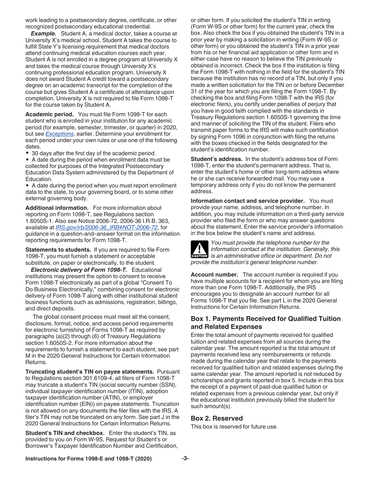work leading to a postsecondary degree, certificate, or other recognized postsecondary educational credential.

*Example.* Student A, a medical doctor, takes a course at University X's medical school. Student A takes the course to fulfill State Y's licensing requirement that medical doctors attend continuing medical education courses each year. Student A is not enrolled in a degree program at University X and takes the medical course through University X's continuing professional education program. University X does not award Student A credit toward a postsecondary degree on an academic transcript for the completion of the course but gives Student A a certificate of attendance upon completion. University X is not required to file Form 1098-T for the course taken by Student A.

**Academic period.** You must file Form 1098-T for each student who is enrolled in your institution for any academic period (for example, semester, trimester, or quarter) in 2020, but see *[Exceptions](#page-2-0)*, earlier. Determine your enrollment for each period under your own rules or use one of the following dates.

• 30 days after the first day of the academic period.

• A date during the period when enrollment data must be collected for purposes of the Integrated Postsecondary Education Data System administered by the Department of Education.

• A date during the period when you must report enrollment data to the state, to your governing board, or to some other external governing body.

**Additional information.** For more information about reporting on Form 1098-T, see Regulations section 1.6050S-1. Also see Notice 2006-72, 2006-36 I.R.B. 363, available at *[IRS.gov/irb/2006-36\\_IRB#NOT-2006-72](https://www.irs.gov/irb/2006-36_IRB#NOT-2006-72)*, for guidance in a question-and–answer format on the information reporting requirements for Form 1098-T.

**Statements to students.** If you are required to file Form 1098-T, you must furnish a statement or acceptable substitute, on paper or electronically, to the student.

*Electronic delivery of Form 1098-T.* Educational institutions may present the option to consent to receive Form 1098-T electronically as part of a global "Consent To Do Business Electronically," combining consent for electronic delivery of Form 1098-T along with other institutional student business functions such as admissions, registration, billings, and direct deposits.

The global consent process must meet all the consent, disclosure, format, notice, and access period requirements for electronic furnishing of Forms 1098-T as required by paragraphs (a)(2) through (6) of Treasury Regulations section 1.6050S-2. For more information about the requirements to furnish a statement to each student, see part M in the 2020 General Instructions for Certain Information Returns.

**Truncating student's TIN on payee statements.** Pursuant to Regulations section 301.6109-4, all filers of Form 1098-T may truncate a student's TIN (social security number (SSN), individual taxpayer identification number (ITIN), adoption taxpayer identification number (ATIN), or employer identification number (EIN)) on payee statements. Truncation is not allowed on any documents the filer files with the IRS. A filer's TIN may not be truncated on any form. See part J in the 2020 General Instructions for Certain Information Returns.

**Student's TIN and checkbox.** Enter the student's TIN, as provided to you on Form W-9S, Request for Student's or Borrower's Taxpayer Identification Number and Certification, or other form. If you solicited the student's TIN in writing (Form W-9S or other form) for the current year, check the box. Also check the box if you obtained the student's TIN in a prior year by making a solicitation in writing (Form W-9S or other form) or you obtained the student's TIN in a prior year from his or her financial aid application or other form and in either case have no reason to believe the TIN previously obtained is incorrect. Check the box if the institution is filing the Form 1098-T with nothing in the field for the student's TIN because the institution has no record of a TIN, but only if you made a written solicitation for the TIN on or before December 31 of the year for which you are filing the Form 1098-T. By checking the box and filing Form 1098-T with the IRS (for electronic filers), you certify under penalties of perjury that you have in good faith complied with the standards in Treasury Regulations section 1.6050S-1 governing the time and manner of soliciting the TIN of the student. Filers who transmit paper forms to the IRS will make such certification by signing Form 1096 in conjunction with filing the returns with the boxes checked in the fields designated for the student's identification number.

**Student's address.** In the student's address box of Form 1098-T, enter the student's permanent address. That is, enter the student's home or other long-term address where he or she can receive forwarded mail. You may use a temporary address only if you do not know the permanent address.

**Information contact and service provider.** You must provide your name, address, and telephone number. In addition, you may include information on a third-party service provider who filed the form or who may answer questions about the statement. Enter the service provider's information in the box below the student's name and address.



*You must provide the telephone number for the information contact at the institution. Generally, this ENTITY IS an administrative office or department. Do not provide the institution's general telephone number.*

**Account number.** The account number is required if you have multiple accounts for a recipient for whom you are filing more than one Form 1098-T. Additionally, the IRS encourages you to designate an account number for all Forms 1098-T that you file. See part L in the 2020 General Instructions for Certain Information Returns.

## **Box 1. Payments Received for Qualified Tuition and Related Expenses**

Enter the total amount of payments received for qualified tuition and related expenses from all sources during the calendar year. The amount reported is the total amount of payments received less any reimbursements or refunds made during the calendar year that relate to the payments received for qualified tuition and related expenses during the same calendar year. The amount reported is not reduced by scholarships and grants reported in box 5. Include in this box the receipt of a payment of past-due qualified tuition or related expenses from a previous calendar year, but only if the educational institution previously billed the student for such amount(s).

#### **Box 2. Reserved**

This box is reserved for future use.